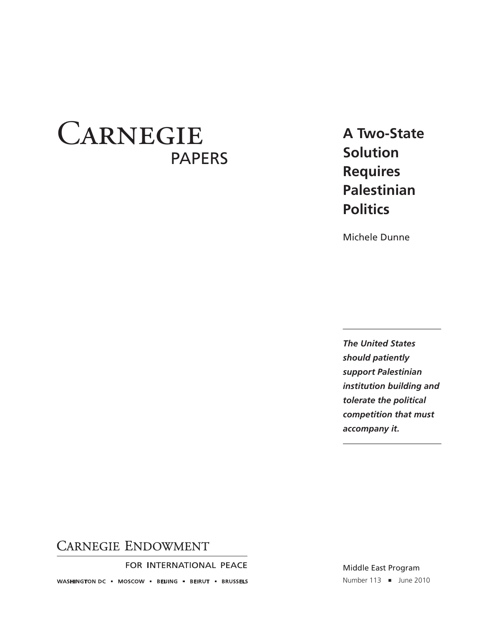# **CARNEGIE** PAPERS

## **A Two-State Solution Requires Palestinian Politics**

Michele Dunne

*The United States should patiently support Palestinian institution building and tolerate the political competition that must accompany it.*

## **CARNEGIE ENDOWMENT**

FOR INTERNATIONAL PEACE

WASHINGTON DC = MOSCOW = BEIJING = BEIRUT = BRUSSELS

Middle East Program Number 113 ■ June 2010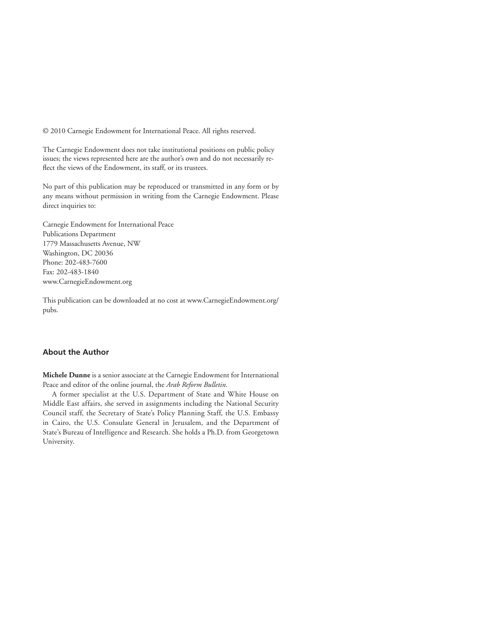© 2010 Carnegie Endowment for International Peace. All rights reserved.

The Carnegie Endowment does not take institutional positions on public policy issues; the views represented here are the author's own and do not necessarily reflect the views of the Endowment, its staff, or its trustees.

No part of this publication may be reproduced or transmitted in any form or by any means without permission in writing from the Carnegie Endowment. Please direct inquiries to:

Carnegie Endowment for International Peace Publications Department 1779 Massachusetts Avenue, NW Washington, DC 20036 Phone: 202-483-7600 Fax: 202-483-1840 www.CarnegieEndowment.org

This publication can be downloaded at no cost at www.CarnegieEndowment.org/ pubs.

#### **About the Author**

**Michele Dunne** is a senior associate at the Carnegie Endowment for International Peace and editor of the online journal, the *Arab Reform Bulletin*.

A former specialist at the U.S. Department of State and White House on Middle East affairs, she served in assignments including the National Security Council staff, the Secretary of State's Policy Planning Staff, the U.S. Embassy in Cairo, the U.S. Consulate General in Jerusalem, and the Department of State's Bureau of Intelligence and Research. She holds a Ph.D. from Georgetown University.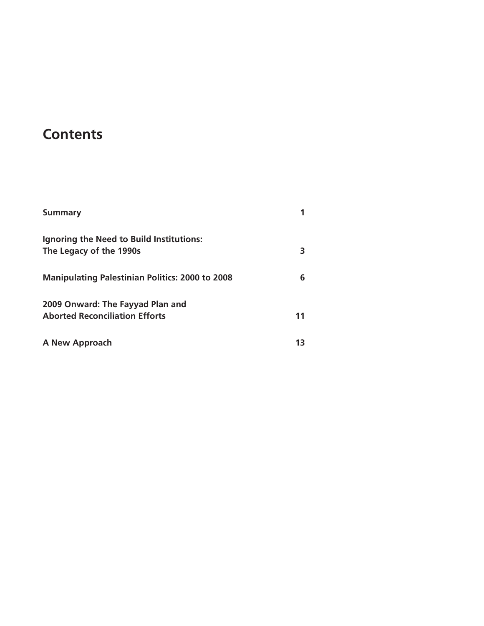## **Contents**

| <b>Summary</b>                                                            |    |
|---------------------------------------------------------------------------|----|
| Ignoring the Need to Build Institutions:<br>The Legacy of the 1990s       |    |
| <b>Manipulating Palestinian Politics: 2000 to 2008</b>                    | 6  |
| 2009 Onward: The Fayyad Plan and<br><b>Aborted Reconciliation Efforts</b> | 11 |
| A New Approach                                                            |    |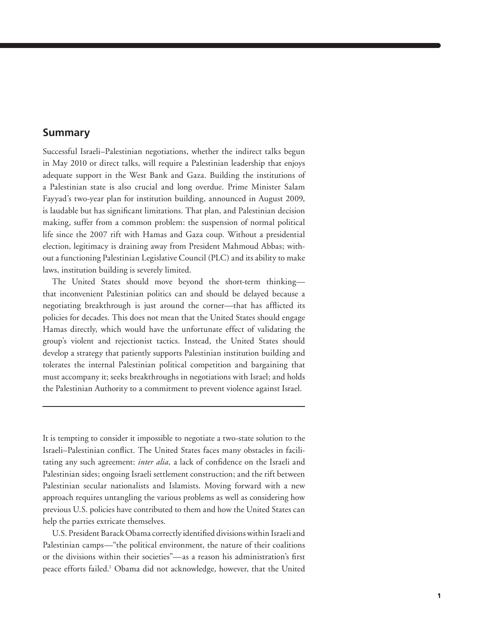#### **Summary**

Successful Israeli–Palestinian negotiations, whether the indirect talks begun in May 2010 or direct talks, will require a Palestinian leadership that enjoys adequate support in the West Bank and Gaza. Building the institutions of a Palestinian state is also crucial and long overdue. Prime Minister Salam Fayyad's two-year plan for institution building, announced in August 2009, is laudable but has significant limitations. That plan, and Palestinian decision making, suffer from a common problem: the suspension of normal political life since the 2007 rift with Hamas and Gaza coup. Without a presidential election, legitimacy is draining away from President Mahmoud Abbas; without a functioning Palestinian Legislative Council (PLC) and its ability to make laws, institution building is severely limited.

The United States should move beyond the short-term thinking that inconvenient Palestinian politics can and should be delayed because a negotiating breakthrough is just around the corner—that has afflicted its policies for decades. This does not mean that the United States should engage Hamas directly, which would have the unfortunate effect of validating the group's violent and rejectionist tactics. Instead, the United States should develop a strategy that patiently supports Palestinian institution building and tolerates the internal Palestinian political competition and bargaining that must accompany it; seeks breakthroughs in negotiations with Israel; and holds the Palestinian Authority to a commitment to prevent violence against Israel.

It is tempting to consider it impossible to negotiate a two-state solution to the Israeli–Palestinian conflict. The United States faces many obstacles in facilitating any such agreement: *inter alia*, a lack of confidence on the Israeli and Palestinian sides; ongoing Israeli settlement construction; and the rift between Palestinian secular nationalists and Islamists. Moving forward with a new approach requires untangling the various problems as well as considering how previous U.S. policies have contributed to them and how the United States can help the parties extricate themselves.

U.S. President Barack Obama correctly identified divisions within Israeli and Palestinian camps—"the political environment, the nature of their coalitions or the divisions within their societies"—as a reason his administration's first peace efforts failed.<sup>1</sup> Obama did not acknowledge, however, that the United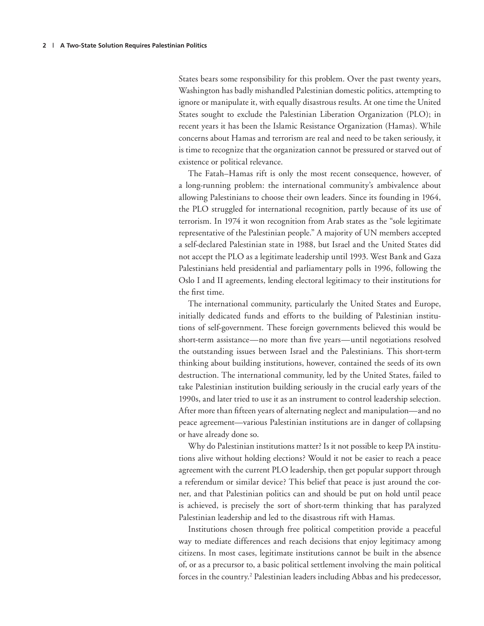States bears some responsibility for this problem. Over the past twenty years, Washington has badly mishandled Palestinian domestic politics, attempting to ignore or manipulate it, with equally disastrous results. At one time the United States sought to exclude the Palestinian Liberation Organization (PLO); in recent years it has been the Islamic Resistance Organization (Hamas). While concerns about Hamas and terrorism are real and need to be taken seriously, it is time to recognize that the organization cannot be pressured or starved out of existence or political relevance.

The Fatah–Hamas rift is only the most recent consequence, however, of a long-running problem: the international community's ambivalence about allowing Palestinians to choose their own leaders. Since its founding in 1964, the PLO struggled for international recognition, partly because of its use of terrorism. In 1974 it won recognition from Arab states as the "sole legitimate representative of the Palestinian people." A majority of UN members accepted a self-declared Palestinian state in 1988, but Israel and the United States did not accept the PLO as a legitimate leadership until 1993. West Bank and Gaza Palestinians held presidential and parliamentary polls in 1996, following the Oslo I and II agreements, lending electoral legitimacy to their institutions for the first time.

The international community, particularly the United States and Europe, initially dedicated funds and efforts to the building of Palestinian institutions of self-government. These foreign governments believed this would be short-term assistance—no more than five years—until negotiations resolved the outstanding issues between Israel and the Palestinians. This short-term thinking about building institutions, however, contained the seeds of its own destruction. The international community, led by the United States, failed to take Palestinian institution building seriously in the crucial early years of the 1990s, and later tried to use it as an instrument to control leadership selection. After more than fifteen years of alternating neglect and manipulation—and no peace agreement—various Palestinian institutions are in danger of collapsing or have already done so.

Why do Palestinian institutions matter? Is it not possible to keep PA institutions alive without holding elections? Would it not be easier to reach a peace agreement with the current PLO leadership, then get popular support through a referendum or similar device? This belief that peace is just around the corner, and that Palestinian politics can and should be put on hold until peace is achieved, is precisely the sort of short-term thinking that has paralyzed Palestinian leadership and led to the disastrous rift with Hamas.

Institutions chosen through free political competition provide a peaceful way to mediate differences and reach decisions that enjoy legitimacy among citizens. In most cases, legitimate institutions cannot be built in the absence of, or as a precursor to, a basic political settlement involving the main political forces in the country.<sup>2</sup> Palestinian leaders including Abbas and his predecessor,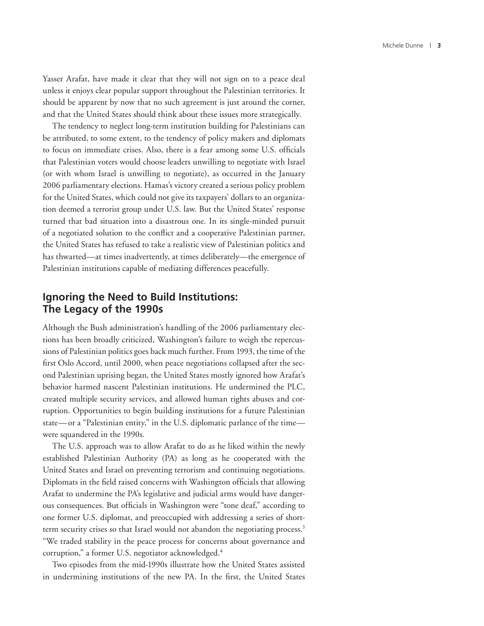Yasser Arafat, have made it clear that they will not sign on to a peace deal unless it enjoys clear popular support throughout the Palestinian territories. It should be apparent by now that no such agreement is just around the corner, and that the United States should think about these issues more strategically.

The tendency to neglect long-term institution building for Palestinians can be attributed, to some extent, to the tendency of policy makers and diplomats to focus on immediate crises. Also, there is a fear among some U.S. officials that Palestinian voters would choose leaders unwilling to negotiate with Israel (or with whom Israel is unwilling to negotiate), as occurred in the January 2006 parliamentary elections. Hamas's victory created a serious policy problem for the United States, which could not give its taxpayers' dollars to an organization deemed a terrorist group under U.S. law. But the United States' response turned that bad situation into a disastrous one. In its single-minded pursuit of a negotiated solution to the conflict and a cooperative Palestinian partner, the United States has refused to take a realistic view of Palestinian politics and has thwarted—at times inadvertently, at times deliberately—the emergence of Palestinian institutions capable of mediating differences peacefully.

### **Ignoring the Need to Build Institutions: The Legacy of the 1990s**

Although the Bush administration's handling of the 2006 parliamentary elections has been broadly criticized, Washington's failure to weigh the repercussions of Palestinian politics goes back much further. From 1993, the time of the first Oslo Accord, until 2000, when peace negotiations collapsed after the second Palestinian uprising began, the United States mostly ignored how Arafat's behavior harmed nascent Palestinian institutions. He undermined the PLC, created multiple security services, and allowed human rights abuses and corruption. Opportunities to begin building institutions for a future Palestinian state—or a "Palestinian entity," in the U.S. diplomatic parlance of the time were squandered in the 1990s.

The U.S. approach was to allow Arafat to do as he liked within the newly established Palestinian Authority (PA) as long as he cooperated with the United States and Israel on preventing terrorism and continuing negotiations. Diplomats in the field raised concerns with Washington officials that allowing Arafat to undermine the PA's legislative and judicial arms would have dangerous consequences. But officials in Washington were "tone deaf," according to one former U.S. diplomat, and preoccupied with addressing a series of shortterm security crises so that Israel would not abandon the negotiating process.<sup>3</sup> "We traded stability in the peace process for concerns about governance and corruption," a former U.S. negotiator acknowledged.<sup>4</sup>

Two episodes from the mid-1990s illustrate how the United States assisted in undermining institutions of the new PA. In the first, the United States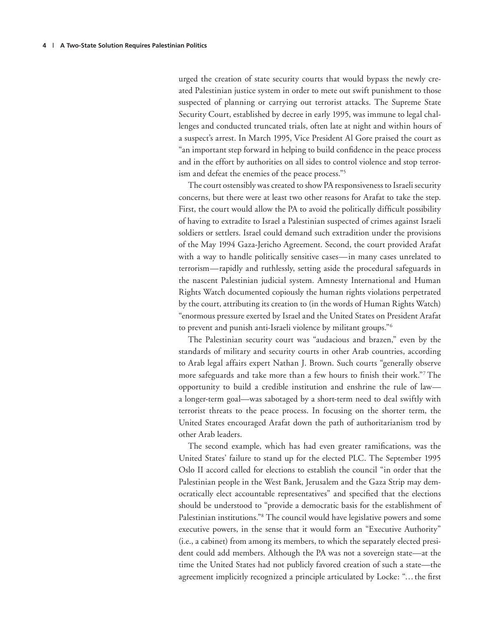urged the creation of state security courts that would bypass the newly created Palestinian justice system in order to mete out swift punishment to those suspected of planning or carrying out terrorist attacks. The Supreme State Security Court, established by decree in early 1995, was immune to legal challenges and conducted truncated trials, often late at night and within hours of a suspect's arrest. In March 1995, Vice President Al Gore praised the court as "an important step forward in helping to build confidence in the peace process and in the effort by authorities on all sides to control violence and stop terrorism and defeat the enemies of the peace process."<sup>5</sup>

The court ostensibly was created to show PA responsiveness to Israeli security concerns, but there were at least two other reasons for Arafat to take the step. First, the court would allow the PA to avoid the politically difficult possibility of having to extradite to Israel a Palestinian suspected of crimes against Israeli soldiers or settlers. Israel could demand such extradition under the provisions of the May 1994 Gaza-Jericho Agreement. Second, the court provided Arafat with a way to handle politically sensitive cases—in many cases unrelated to terrorism—rapidly and ruthlessly, setting aside the procedural safeguards in the nascent Palestinian judicial system. Amnesty International and Human Rights Watch documented copiously the human rights violations perpetrated by the court, attributing its creation to (in the words of Human Rights Watch) "enormous pressure exerted by Israel and the United States on President Arafat to prevent and punish anti-Israeli violence by militant groups."6

The Palestinian security court was "audacious and brazen," even by the standards of military and security courts in other Arab countries, according to Arab legal affairs expert Nathan J. Brown. Such courts "generally observe more safeguards and take more than a few hours to finish their work."<sup>7</sup> The opportunity to build a credible institution and enshrine the rule of law a longer-term goal—was sabotaged by a short-term need to deal swiftly with terrorist threats to the peace process. In focusing on the shorter term, the United States encouraged Arafat down the path of authoritarianism trod by other Arab leaders.

The second example, which has had even greater ramifications, was the United States' failure to stand up for the elected PLC. The September 1995 Oslo II accord called for elections to establish the council "in order that the Palestinian people in the West Bank, Jerusalem and the Gaza Strip may democratically elect accountable representatives" and specified that the elections should be understood to "provide a democratic basis for the establishment of Palestinian institutions."8 The council would have legislative powers and some executive powers, in the sense that it would form an "Executive Authority" (i.e., a cabinet) from among its members, to which the separately elected president could add members. Although the PA was not a sovereign state—at the time the United States had not publicly favored creation of such a state—the agreement implicitly recognized a principle articulated by Locke: "... the first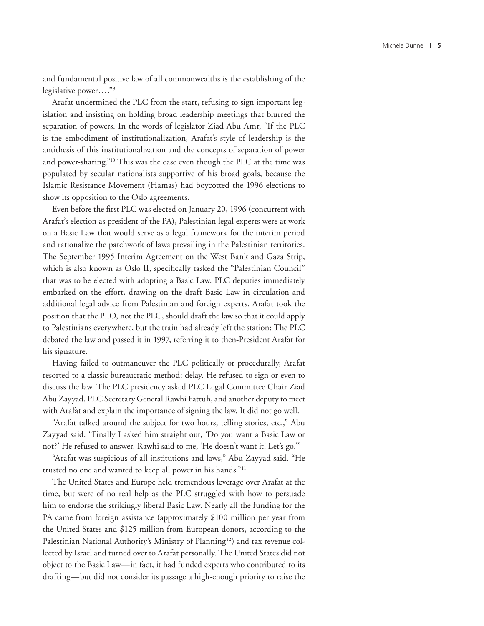and fundamental positive law of all commonwealths is the establishing of the legislative power… ."9

Arafat undermined the PLC from the start, refusing to sign important legislation and insisting on holding broad leadership meetings that blurred the separation of powers. In the words of legislator Ziad Abu Amr, "If the PLC is the embodiment of institutionalization, Arafat's style of leadership is the antithesis of this institutionalization and the concepts of separation of power and power-sharing."10 This was the case even though the PLC at the time was populated by secular nationalists supportive of his broad goals, because the Islamic Resistance Movement (Hamas) had boycotted the 1996 elections to show its opposition to the Oslo agreements.

Even before the first PLC was elected on January 20, 1996 (concurrent with Arafat's election as president of the PA), Palestinian legal experts were at work on a Basic Law that would serve as a legal framework for the interim period and rationalize the patchwork of laws prevailing in the Palestinian territories. The September 1995 Interim Agreement on the West Bank and Gaza Strip, which is also known as Oslo II, specifically tasked the "Palestinian Council" that was to be elected with adopting a Basic Law. PLC deputies immediately embarked on the effort, drawing on the draft Basic Law in circulation and additional legal advice from Palestinian and foreign experts. Arafat took the position that the PLO, not the PLC, should draft the law so that it could apply to Palestinians everywhere, but the train had already left the station: The PLC debated the law and passed it in 1997, referring it to then-President Arafat for his signature.

Having failed to outmaneuver the PLC politically or procedurally, Arafat resorted to a classic bureaucratic method: delay. He refused to sign or even to discuss the law. The PLC presidency asked PLC Legal Committee Chair Ziad Abu Zayyad, PLC Secretary General Rawhi Fattuh, and another deputy to meet with Arafat and explain the importance of signing the law. It did not go well.

"Arafat talked around the subject for two hours, telling stories, etc.," Abu Zayyad said. "Finally I asked him straight out, 'Do you want a Basic Law or not?' He refused to answer. Rawhi said to me, 'He doesn't want it! Let's go.'"

"Arafat was suspicious of all institutions and laws," Abu Zayyad said. "He trusted no one and wanted to keep all power in his hands."11

The United States and Europe held tremendous leverage over Arafat at the time, but were of no real help as the PLC struggled with how to persuade him to endorse the strikingly liberal Basic Law. Nearly all the funding for the PA came from foreign assistance (approximately \$100 million per year from the United States and \$125 million from European donors, according to the Palestinian National Authority's Ministry of Planning<sup>12</sup>) and tax revenue collected by Israel and turned over to Arafat personally. The United States did not object to the Basic Law—in fact, it had funded experts who contributed to its drafting—but did not consider its passage a high-enough priority to raise the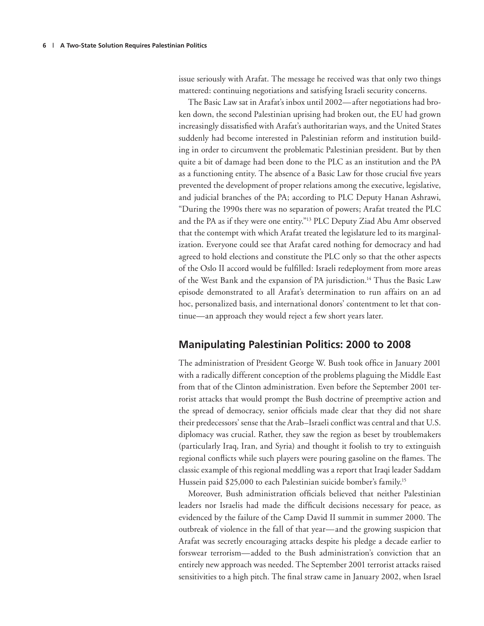issue seriously with Arafat. The message he received was that only two things mattered: continuing negotiations and satisfying Israeli security concerns.

The Basic Law sat in Arafat's inbox until 2002—after negotiations had broken down, the second Palestinian uprising had broken out, the EU had grown increasingly dissatisfied with Arafat's authoritarian ways, and the United States suddenly had become interested in Palestinian reform and institution building in order to circumvent the problematic Palestinian president. But by then quite a bit of damage had been done to the PLC as an institution and the PA as a functioning entity. The absence of a Basic Law for those crucial five years prevented the development of proper relations among the executive, legislative, and judicial branches of the PA; according to PLC Deputy Hanan Ashrawi, "During the 1990s there was no separation of powers; Arafat treated the PLC and the PA as if they were one entity."<sup>13</sup> PLC Deputy Ziad Abu Amr observed that the contempt with which Arafat treated the legislature led to its marginalization. Everyone could see that Arafat cared nothing for democracy and had agreed to hold elections and constitute the PLC only so that the other aspects of the Oslo II accord would be fulfilled: Israeli redeployment from more areas of the West Bank and the expansion of PA jurisdiction.<sup>14</sup> Thus the Basic Law episode demonstrated to all Arafat's determination to run affairs on an ad hoc, personalized basis, and international donors' contentment to let that continue—an approach they would reject a few short years later.

### **Manipulating Palestinian Politics: 2000 to 2008**

The administration of President George W. Bush took office in January 2001 with a radically different conception of the problems plaguing the Middle East from that of the Clinton administration. Even before the September 2001 terrorist attacks that would prompt the Bush doctrine of preemptive action and the spread of democracy, senior officials made clear that they did not share their predecessors' sense that the Arab-Israeli conflict was central and that U.S. diplomacy was crucial. Rather, they saw the region as beset by troublemakers (particularly Iraq, Iran, and Syria) and thought it foolish to try to extinguish regional conflicts while such players were pouring gasoline on the flames. The classic example of this regional meddling was a report that Iraqi leader Saddam Hussein paid \$25,000 to each Palestinian suicide bomber's family.<sup>15</sup>

Moreover, Bush administration officials believed that neither Palestinian leaders nor Israelis had made the difficult decisions necessary for peace, as evidenced by the failure of the Camp David II summit in summer 2000. The outbreak of violence in the fall of that year—and the growing suspicion that Arafat was secretly encouraging attacks despite his pledge a decade earlier to forswear terrorism—added to the Bush administration's conviction that an entirely new approach was needed. The September 2001 terrorist attacks raised sensitivities to a high pitch. The final straw came in January 2002, when Israel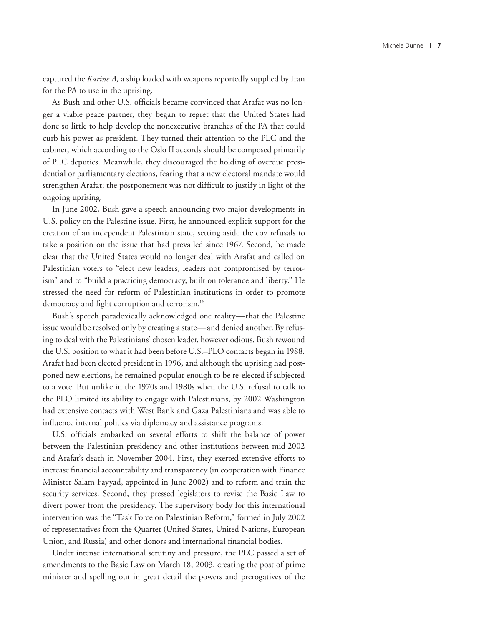captured the *Karine A,* a ship loaded with weapons reportedly supplied by Iran for the PA to use in the uprising.

As Bush and other U.S. officials became convinced that Arafat was no longer a viable peace partner, they began to regret that the United States had done so little to help develop the nonexecutive branches of the PA that could curb his power as president. They turned their attention to the PLC and the cabinet, which according to the Oslo II accords should be composed primarily of PLC deputies. Meanwhile, they discouraged the holding of overdue presidential or parliamentary elections, fearing that a new electoral mandate would strengthen Arafat; the postponement was not difficult to justify in light of the ongoing uprising.

In June 2002, Bush gave a speech announcing two major developments in U.S. policy on the Palestine issue. First, he announced explicit support for the creation of an independent Palestinian state, setting aside the coy refusals to take a position on the issue that had prevailed since 1967. Second, he made clear that the United States would no longer deal with Arafat and called on Palestinian voters to "elect new leaders, leaders not compromised by terrorism" and to "build a practicing democracy, built on tolerance and liberty." He stressed the need for reform of Palestinian institutions in order to promote democracy and fight corruption and terrorism.<sup>16</sup>

Bush's speech paradoxically acknowledged one reality—that the Palestine issue would be resolved only by creating a state—and denied another. By refusing to deal with the Palestinians' chosen leader, however odious, Bush rewound the U.S. position to what it had been before U.S.–PLO contacts began in 1988. Arafat had been elected president in 1996, and although the uprising had postponed new elections, he remained popular enough to be re-elected if subjected to a vote. But unlike in the 1970s and 1980s when the U.S. refusal to talk to the PLO limited its ability to engage with Palestinians, by 2002 Washington had extensive contacts with West Bank and Gaza Palestinians and was able to influence internal politics via diplomacy and assistance programs.

U.S. officials embarked on several efforts to shift the balance of power between the Palestinian presidency and other institutions between mid-2002 and Arafat's death in November 2004. First, they exerted extensive efforts to increase financial accountability and transparency (in cooperation with Finance Minister Salam Fayyad, appointed in June 2002) and to reform and train the security services. Second, they pressed legislators to revise the Basic Law to divert power from the presidency. The supervisory body for this international intervention was the "Task Force on Palestinian Reform," formed in July 2002 of representatives from the Quartet (United States, United Nations, European Union, and Russia) and other donors and international financial bodies.

Under intense international scrutiny and pressure, the PLC passed a set of amendments to the Basic Law on March 18, 2003, creating the post of prime minister and spelling out in great detail the powers and prerogatives of the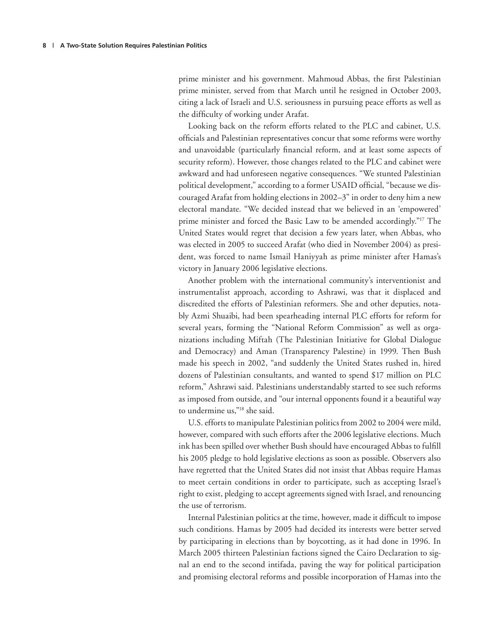prime minister and his government. Mahmoud Abbas, the first Palestinian prime minister, served from that March until he resigned in October 2003, citing a lack of Israeli and U.S. seriousness in pursuing peace efforts as well as the difficulty of working under Arafat.

Looking back on the reform efforts related to the PLC and cabinet, U.S. officials and Palestinian representatives concur that some reforms were worthy and unavoidable (particularly financial reform, and at least some aspects of security reform). However, those changes related to the PLC and cabinet were awkward and had unforeseen negative consequences. "We stunted Palestinian political development," according to a former USAID official, "because we discouraged Arafat from holding elections in 2002–3" in order to deny him a new electoral mandate. "We decided instead that we believed in an 'empowered' prime minister and forced the Basic Law to be amended accordingly."<sup>17</sup> The United States would regret that decision a few years later, when Abbas, who was elected in 2005 to succeed Arafat (who died in November 2004) as president, was forced to name Ismail Haniyyah as prime minister after Hamas's victory in January 2006 legislative elections.

Another problem with the international community's interventionist and instrumentalist approach, according to Ashrawi, was that it displaced and discredited the efforts of Palestinian reformers. She and other deputies, notably Azmi Shuaibi, had been spearheading internal PLC efforts for reform for several years, forming the "National Reform Commission" as well as organizations including Miftah (The Palestinian Initiative for Global Dialogue and Democracy) and Aman (Transparency Palestine) in 1999. Then Bush made his speech in 2002, "and suddenly the United States rushed in, hired dozens of Palestinian consultants, and wanted to spend \$17 million on PLC reform," Ashrawi said. Palestinians understandably started to see such reforms as imposed from outside, and "our internal opponents found it a beautiful way to undermine us,"18 she said.

U.S. efforts to manipulate Palestinian politics from 2002 to 2004 were mild, however, compared with such efforts after the 2006 legislative elections. Much ink has been spilled over whether Bush should have encouraged Abbas to fulfill his 2005 pledge to hold legislative elections as soon as possible. Observers also have regretted that the United States did not insist that Abbas require Hamas to meet certain conditions in order to participate, such as accepting Israel's right to exist, pledging to accept agreements signed with Israel, and renouncing the use of terrorism.

Internal Palestinian politics at the time, however, made it difficult to impose such conditions. Hamas by 2005 had decided its interests were better served by participating in elections than by boycotting, as it had done in 1996. In March 2005 thirteen Palestinian factions signed the Cairo Declaration to signal an end to the second intifada, paving the way for political participation and promising electoral reforms and possible incorporation of Hamas into the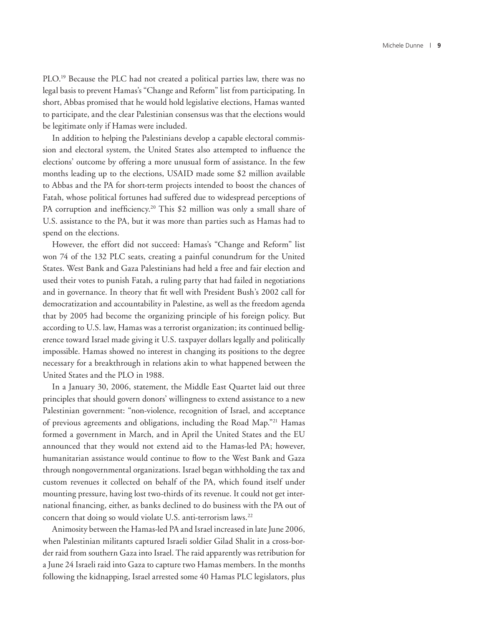PLO.<sup>19</sup> Because the PLC had not created a political parties law, there was no legal basis to prevent Hamas's "Change and Reform" list from participating. In short, Abbas promised that he would hold legislative elections, Hamas wanted to participate, and the clear Palestinian consensus was that the elections would be legitimate only if Hamas were included.

In addition to helping the Palestinians develop a capable electoral commission and electoral system, the United States also attempted to influence the elections' outcome by offering a more unusual form of assistance. In the few months leading up to the elections, USAID made some \$2 million available to Abbas and the PA for short-term projects intended to boost the chances of Fatah, whose political fortunes had suffered due to widespread perceptions of PA corruption and inefficiency.<sup>20</sup> This \$2 million was only a small share of U.S. assistance to the PA, but it was more than parties such as Hamas had to spend on the elections.

However, the effort did not succeed: Hamas's "Change and Reform" list won 74 of the 132 PLC seats, creating a painful conundrum for the United States. West Bank and Gaza Palestinians had held a free and fair election and used their votes to punish Fatah, a ruling party that had failed in negotiations and in governance. In theory that fit well with President Bush's 2002 call for democratization and accountability in Palestine, as well as the freedom agenda that by 2005 had become the organizing principle of his foreign policy. But according to U.S. law, Hamas was a terrorist organization; its continued belligerence toward Israel made giving it U.S. taxpayer dollars legally and politically impossible. Hamas showed no interest in changing its positions to the degree necessary for a breakthrough in relations akin to what happened between the United States and the PLO in 1988.

In a January 30, 2006, statement, the Middle East Quartet laid out three principles that should govern donors' willingness to extend assistance to a new Palestinian government: "non-violence, recognition of Israel, and acceptance of previous agreements and obligations, including the Road Map."21 Hamas formed a government in March, and in April the United States and the EU announced that they would not extend aid to the Hamas-led PA; however, humanitarian assistance would continue to flow to the West Bank and Gaza through nongovernmental organizations. Israel began withholding the tax and custom revenues it collected on behalf of the PA, which found itself under mounting pressure, having lost two-thirds of its revenue. It could not get international financing, either, as banks declined to do business with the PA out of concern that doing so would violate U.S. anti-terrorism laws.<sup>22</sup>

Animosity between the Hamas-led PA and Israel increased in late June 2006, when Palestinian militants captured Israeli soldier Gilad Shalit in a cross-border raid from southern Gaza into Israel. The raid apparently was retribution for a June 24 Israeli raid into Gaza to capture two Hamas members. In the months following the kidnapping, Israel arrested some 40 Hamas PLC legislators, plus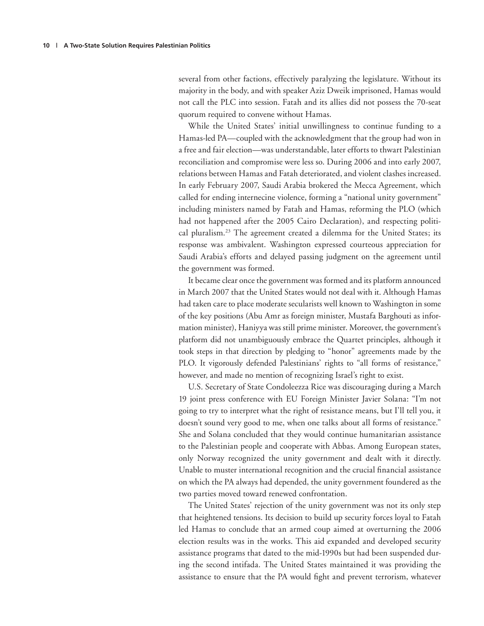several from other factions, effectively paralyzing the legislature. Without its majority in the body, and with speaker Aziz Dweik imprisoned, Hamas would not call the PLC into session. Fatah and its allies did not possess the 70-seat quorum required to convene without Hamas.

While the United States' initial unwillingness to continue funding to a Hamas-led PA—coupled with the acknowledgment that the group had won in a free and fair election—was understandable, later efforts to thwart Palestinian reconciliation and compromise were less so. During 2006 and into early 2007, relations between Hamas and Fatah deteriorated, and violent clashes increased. In early February 2007, Saudi Arabia brokered the Mecca Agreement, which called for ending internecine violence, forming a "national unity government" including ministers named by Fatah and Hamas, reforming the PLO (which had not happened after the 2005 Cairo Declaration), and respecting political pluralism.<sup>23</sup> The agreement created a dilemma for the United States; its response was ambivalent. Washington expressed courteous appreciation for Saudi Arabia's efforts and delayed passing judgment on the agreement until the government was formed.

It became clear once the government was formed and its platform announced in March 2007 that the United States would not deal with it. Although Hamas had taken care to place moderate secularists well known to Washington in some of the key positions (Abu Amr as foreign minister, Mustafa Barghouti as information minister), Haniyya was still prime minister. Moreover, the government's platform did not unambiguously embrace the Quartet principles, although it took steps in that direction by pledging to "honor" agreements made by the PLO. It vigorously defended Palestinians' rights to "all forms of resistance," however, and made no mention of recognizing Israel's right to exist.

U.S. Secretary of State Condoleezza Rice was discouraging during a March 19 joint press conference with EU Foreign Minister Javier Solana: "I'm not going to try to interpret what the right of resistance means, but I'll tell you, it doesn't sound very good to me, when one talks about all forms of resistance." She and Solana concluded that they would continue humanitarian assistance to the Palestinian people and cooperate with Abbas. Among European states, only Norway recognized the unity government and dealt with it directly. Unable to muster international recognition and the crucial financial assistance on which the PA always had depended, the unity government foundered as the two parties moved toward renewed confrontation.

The United States' rejection of the unity government was not its only step that heightened tensions. Its decision to build up security forces loyal to Fatah led Hamas to conclude that an armed coup aimed at overturning the 2006 election results was in the works. This aid expanded and developed security assistance programs that dated to the mid-1990s but had been suspended during the second intifada. The United States maintained it was providing the assistance to ensure that the PA would fight and prevent terrorism, whatever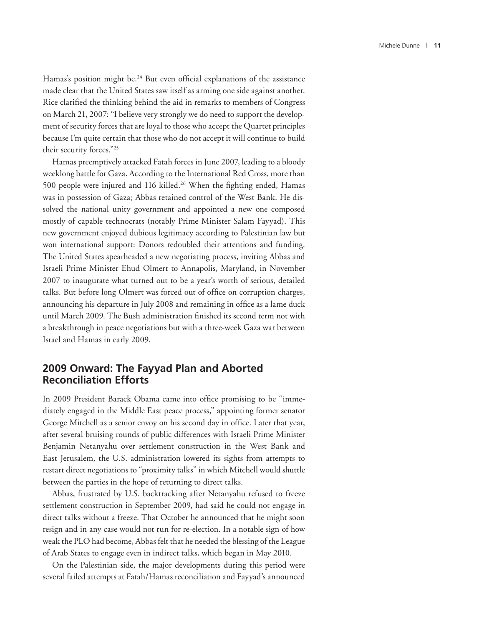Hamas's position might be.<sup>24</sup> But even official explanations of the assistance made clear that the United States saw itself as arming one side against another. Rice clarified the thinking behind the aid in remarks to members of Congress on March 21, 2007: "I believe very strongly we do need to support the development of security forces that are loyal to those who accept the Quartet principles because I'm quite certain that those who do not accept it will continue to build their security forces."25

Hamas preemptively attacked Fatah forces in June 2007, leading to a bloody weeklong battle for Gaza. According to the International Red Cross, more than 500 people were injured and 116 killed.<sup>26</sup> When the fighting ended, Hamas was in possession of Gaza; Abbas retained control of the West Bank. He dissolved the national unity government and appointed a new one composed mostly of capable technocrats (notably Prime Minister Salam Fayyad). This new government enjoyed dubious legitimacy according to Palestinian law but won international support: Donors redoubled their attentions and funding. The United States spearheaded a new negotiating process, inviting Abbas and Israeli Prime Minister Ehud Olmert to Annapolis, Maryland, in November 2007 to inaugurate what turned out to be a year's worth of serious, detailed talks. But before long Olmert was forced out of office on corruption charges, announcing his departure in July 2008 and remaining in office as a lame duck until March 2009. The Bush administration finished its second term not with a breakthrough in peace negotiations but with a three-week Gaza war between Israel and Hamas in early 2009.

### **2009 Onward: The Fayyad Plan and Aborted Reconciliation Efforts**

In 2009 President Barack Obama came into office promising to be "immediately engaged in the Middle East peace process," appointing former senator George Mitchell as a senior envoy on his second day in office. Later that year, after several bruising rounds of public differences with Israeli Prime Minister Benjamin Netanyahu over settlement construction in the West Bank and East Jerusalem, the U.S. administration lowered its sights from attempts to restart direct negotiations to "proximity talks" in which Mitchell would shuttle between the parties in the hope of returning to direct talks.

Abbas, frustrated by U.S. backtracking after Netanyahu refused to freeze settlement construction in September 2009, had said he could not engage in direct talks without a freeze. That October he announced that he might soon resign and in any case would not run for re-election. In a notable sign of how weak the PLO had become, Abbas felt that he needed the blessing of the League of Arab States to engage even in indirect talks, which began in May 2010.

On the Palestinian side, the major developments during this period were several failed attempts at Fatah/Hamas reconciliation and Fayyad's announced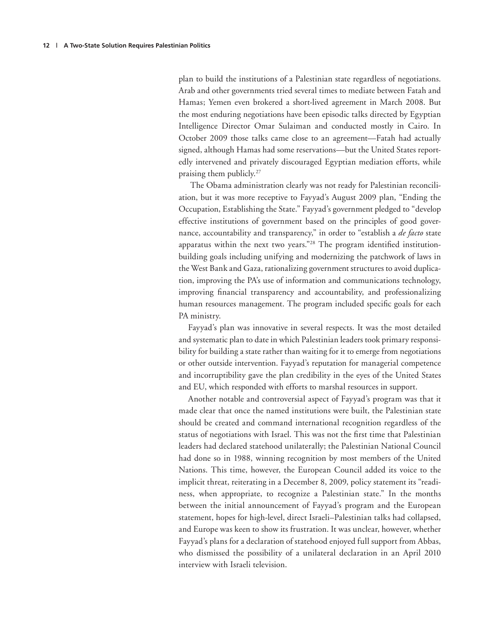plan to build the institutions of a Palestinian state regardless of negotiations. Arab and other governments tried several times to mediate between Fatah and Hamas; Yemen even brokered a short-lived agreement in March 2008. But the most enduring negotiations have been episodic talks directed by Egyptian Intelligence Director Omar Sulaiman and conducted mostly in Cairo. In October 2009 those talks came close to an agreement—Fatah had actually signed, although Hamas had some reservations—but the United States reportedly intervened and privately discouraged Egyptian mediation efforts, while praising them publicly.27

 The Obama administration clearly was not ready for Palestinian reconciliation, but it was more receptive to Fayyad's August 2009 plan, "Ending the Occupation, Establishing the State." Fayyad's government pledged to "develop effective institutions of government based on the principles of good governance, accountability and transparency," in order to "establish a *de facto* state apparatus within the next two years."<sup>28</sup> The program identified institutionbuilding goals including unifying and modernizing the patchwork of laws in the West Bank and Gaza, rationalizing government structures to avoid duplication, improving the PA's use of information and communications technology, improving financial transparency and accountability, and professionalizing human resources management. The program included specific goals for each PA ministry.

Fayyad's plan was innovative in several respects. It was the most detailed and systematic plan to date in which Palestinian leaders took primary responsibility for building a state rather than waiting for it to emerge from negotiations or other outside intervention. Fayyad's reputation for managerial competence and incorruptibility gave the plan credibility in the eyes of the United States and EU, which responded with efforts to marshal resources in support.

Another notable and controversial aspect of Fayyad's program was that it made clear that once the named institutions were built, the Palestinian state should be created and command international recognition regardless of the status of negotiations with Israel. This was not the first time that Palestinian leaders had declared statehood unilaterally; the Palestinian National Council had done so in 1988, winning recognition by most members of the United Nations. This time, however, the European Council added its voice to the implicit threat, reiterating in a December 8, 2009, policy statement its "readiness, when appropriate, to recognize a Palestinian state." In the months between the initial announcement of Fayyad's program and the European statement, hopes for high-level, direct Israeli–Palestinian talks had collapsed, and Europe was keen to show its frustration. It was unclear, however, whether Fayyad's plans for a declaration of statehood enjoyed full support from Abbas, who dismissed the possibility of a unilateral declaration in an April 2010 interview with Israeli television.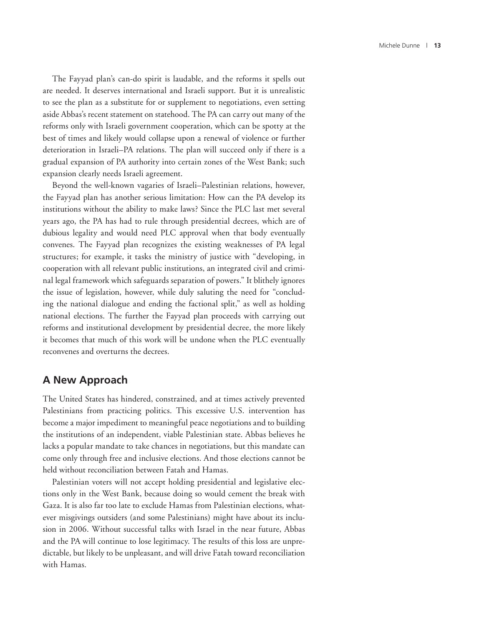The Fayyad plan's can-do spirit is laudable, and the reforms it spells out are needed. It deserves international and Israeli support. But it is unrealistic to see the plan as a substitute for or supplement to negotiations, even setting aside Abbas's recent statement on statehood. The PA can carry out many of the reforms only with Israeli government cooperation, which can be spotty at the best of times and likely would collapse upon a renewal of violence or further deterioration in Israeli–PA relations. The plan will succeed only if there is a gradual expansion of PA authority into certain zones of the West Bank; such expansion clearly needs Israeli agreement.

Beyond the well-known vagaries of Israeli–Palestinian relations, however, the Fayyad plan has another serious limitation: How can the PA develop its institutions without the ability to make laws? Since the PLC last met several years ago, the PA has had to rule through presidential decrees, which are of dubious legality and would need PLC approval when that body eventually convenes. The Fayyad plan recognizes the existing weaknesses of PA legal structures; for example, it tasks the ministry of justice with "developing, in cooperation with all relevant public institutions, an integrated civil and criminal legal framework which safeguards separation of powers." It blithely ignores the issue of legislation, however, while duly saluting the need for "concluding the national dialogue and ending the factional split," as well as holding national elections. The further the Fayyad plan proceeds with carrying out reforms and institutional development by presidential decree, the more likely it becomes that much of this work will be undone when the PLC eventually reconvenes and overturns the decrees.

#### **A New Approach**

The United States has hindered, constrained, and at times actively prevented Palestinians from practicing politics. This excessive U.S. intervention has become a major impediment to meaningful peace negotiations and to building the institutions of an independent, viable Palestinian state. Abbas believes he lacks a popular mandate to take chances in negotiations, but this mandate can come only through free and inclusive elections. And those elections cannot be held without reconciliation between Fatah and Hamas.

Palestinian voters will not accept holding presidential and legislative elections only in the West Bank, because doing so would cement the break with Gaza. It is also far too late to exclude Hamas from Palestinian elections, whatever misgivings outsiders (and some Palestinians) might have about its inclusion in 2006. Without successful talks with Israel in the near future, Abbas and the PA will continue to lose legitimacy. The results of this loss are unpredictable, but likely to be unpleasant, and will drive Fatah toward reconciliation with Hamas.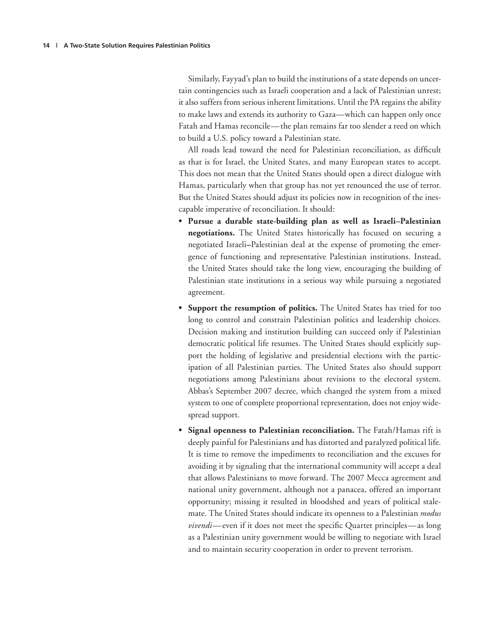Similarly, Fayyad's plan to build the institutions of a state depends on uncertain contingencies such as Israeli cooperation and a lack of Palestinian unrest; it also suffers from serious inherent limitations. Until the PA regains the ability to make laws and extends its authority to Gaza—which can happen only once Fatah and Hamas reconcile—the plan remains far too slender a reed on which to build a U.S. policy toward a Palestinian state.

All roads lead toward the need for Palestinian reconciliation, as difficult as that is for Israel, the United States, and many European states to accept. This does not mean that the United States should open a direct dialogue with Hamas, particularly when that group has not yet renounced the use of terror. But the United States should adjust its policies now in recognition of the inescapable imperative of reconciliation. It should:

- **Pursue a durable state-building plan as well as Israeli–Palestinian negotiations.** The United States historically has focused on securing a negotiated Israeli**–**Palestinian deal at the expense of promoting the emergence of functioning and representative Palestinian institutions. Instead, the United States should take the long view, encouraging the building of Palestinian state institutions in a serious way while pursuing a negotiated agreement.
- **Support the resumption of politics.** The United States has tried for too long to control and constrain Palestinian politics and leadership choices. Decision making and institution building can succeed only if Palestinian democratic political life resumes. The United States should explicitly support the holding of legislative and presidential elections with the participation of all Palestinian parties. The United States also should support negotiations among Palestinians about revisions to the electoral system. Abbas's September 2007 decree, which changed the system from a mixed system to one of complete proportional representation, does not enjoy widespread support.
- **Signal openness to Palestinian reconciliation.** The Fatah/Hamas rift is deeply painful for Palestinians and has distorted and paralyzed political life. It is time to remove the impediments to reconciliation and the excuses for avoiding it by signaling that the international community will accept a deal that allows Palestinians to move forward. The 2007 Mecca agreement and national unity government, although not a panacea, offered an important opportunity; missing it resulted in bloodshed and years of political stalemate. The United States should indicate its openness to a Palestinian *modus vivendi*—even if it does not meet the specific Quartet principles—as long as a Palestinian unity government would be willing to negotiate with Israel and to maintain security cooperation in order to prevent terrorism.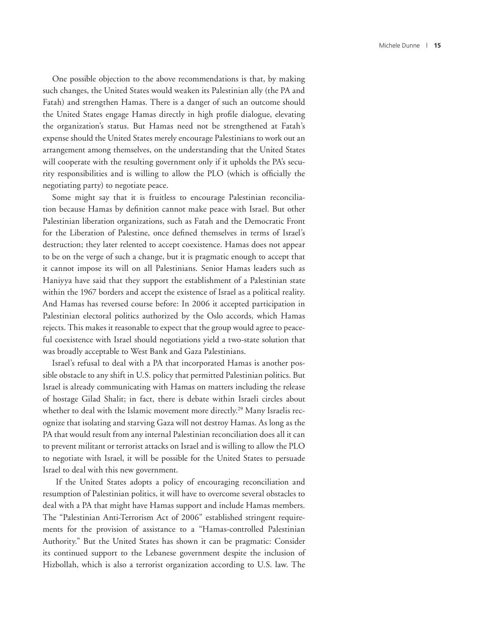One possible objection to the above recommendations is that, by making such changes, the United States would weaken its Palestinian ally (the PA and Fatah) and strengthen Hamas. There is a danger of such an outcome should the United States engage Hamas directly in high profile dialogue, elevating the organization's status. But Hamas need not be strengthened at Fatah's expense should the United States merely encourage Palestinians to work out an arrangement among themselves, on the understanding that the United States will cooperate with the resulting government only if it upholds the PA's security responsibilities and is willing to allow the PLO (which is officially the negotiating party) to negotiate peace.

Some might say that it is fruitless to encourage Palestinian reconciliation because Hamas by definition cannot make peace with Israel. But other Palestinian liberation organizations, such as Fatah and the Democratic Front for the Liberation of Palestine, once defined themselves in terms of Israel's destruction; they later relented to accept coexistence. Hamas does not appear to be on the verge of such a change, but it is pragmatic enough to accept that it cannot impose its will on all Palestinians. Senior Hamas leaders such as Haniyya have said that they support the establishment of a Palestinian state within the 1967 borders and accept the existence of Israel as a political reality. And Hamas has reversed course before: In 2006 it accepted participation in Palestinian electoral politics authorized by the Oslo accords, which Hamas rejects. This makes it reasonable to expect that the group would agree to peaceful coexistence with Israel should negotiations yield a two-state solution that was broadly acceptable to West Bank and Gaza Palestinians.

Israel's refusal to deal with a PA that incorporated Hamas is another possible obstacle to any shift in U.S. policy that permitted Palestinian politics. But Israel is already communicating with Hamas on matters including the release of hostage Gilad Shalit; in fact, there is debate within Israeli circles about whether to deal with the Islamic movement more directly.<sup>29</sup> Many Israelis recognize that isolating and starving Gaza will not destroy Hamas. As long as the PA that would result from any internal Palestinian reconciliation does all it can to prevent militant or terrorist attacks on Israel and is willing to allow the PLO to negotiate with Israel, it will be possible for the United States to persuade Israel to deal with this new government.

 If the United States adopts a policy of encouraging reconciliation and resumption of Palestinian politics, it will have to overcome several obstacles to deal with a PA that might have Hamas support and include Hamas members. The "Palestinian Anti-Terrorism Act of 2006" established stringent requirements for the provision of assistance to a "Hamas-controlled Palestinian Authority." But the United States has shown it can be pragmatic: Consider its continued support to the Lebanese government despite the inclusion of Hizbollah, which is also a terrorist organization according to U.S. law. The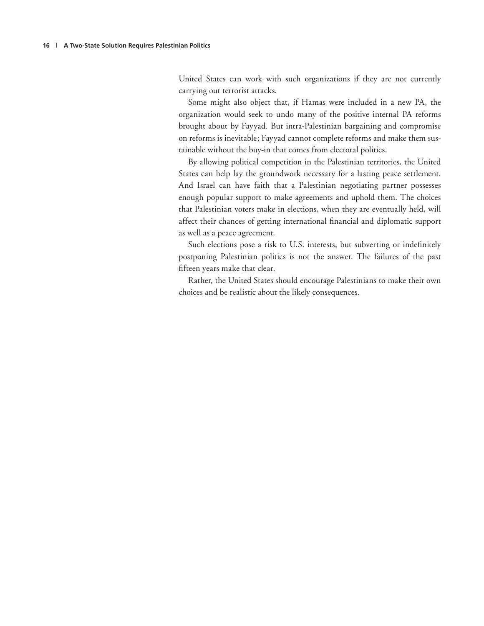United States can work with such organizations if they are not currently carrying out terrorist attacks.

Some might also object that, if Hamas were included in a new PA, the organization would seek to undo many of the positive internal PA reforms brought about by Fayyad. But intra-Palestinian bargaining and compromise on reforms is inevitable; Fayyad cannot complete reforms and make them sustainable without the buy-in that comes from electoral politics.

By allowing political competition in the Palestinian territories, the United States can help lay the groundwork necessary for a lasting peace settlement. And Israel can have faith that a Palestinian negotiating partner possesses enough popular support to make agreements and uphold them. The choices that Palestinian voters make in elections, when they are eventually held, will affect their chances of getting international financial and diplomatic support as well as a peace agreement.

Such elections pose a risk to U.S. interests, but subverting or indefinitely postponing Palestinian politics is not the answer. The failures of the past fifteen years make that clear.

Rather, the United States should encourage Palestinians to make their own choices and be realistic about the likely consequences.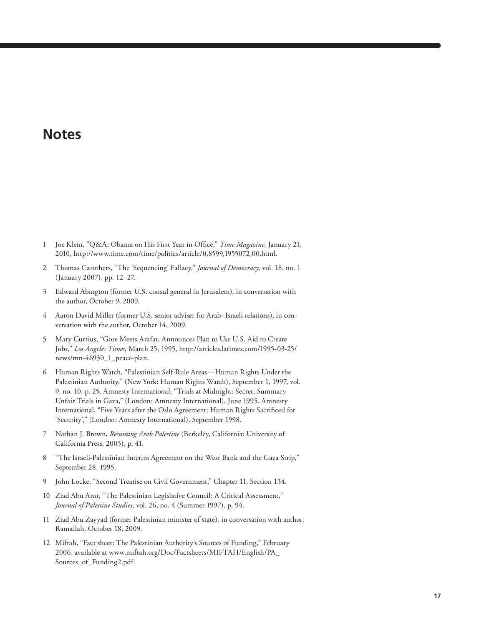## **Notes**

- 1 Joe Klein, "Q&A: Obama on His First Year in Office," *Time Magazine*, January 21, 2010, http://www.time.com/time/politics/article/0,8599,1955072,00.html.
- 2 Thomas Carothers, "The 'Sequencing' Fallacy," *Journal of Democracy,* vol. 18, no. 1 (January 2007), pp. 12–27.
- 3 Edward Abington (former U.S. consul general in Jerusalem), in conversation with the author, October 9, 2009.
- 4 Aaron David Miller (former U.S. senior adviser for Arab–Israeli relations), in conversation with the author, October 14, 2009.
- 5 Mary Curtius, "Gore Meets Arafat, Announces Plan to Use U.S. Aid to Create Jobs," *Los Angeles Times,* March 25, 1995, http://articles.latimes.com/1995-03-25/ news/mn-46930\_1\_peace-plan.
- 6 Human Rights Watch, "Palestinian Self-Rule Areas—Human Rights Under the Palestinian Authority," (New York: Human Rights Watch), September 1, 1997, vol. 9, no. 10*,* p. 25. Amnesty International, "Trials at Midnight: Secret, Summary Unfair Trials in Gaza," (London: Amnesty International), June 1995. Amnesty International, "Five Years after the Oslo Agreement: Human Rights Sacrificed for 'Security'," (London: Amnesty International), September 1998.
- 7 Nathan J. Brown, *Resuming Arab Palestine* (Berkeley, California: University of California Press, 2003), p. 41.
- 8 "The Israeli-Palestinian Interim Agreement on the West Bank and the Gaza Strip," September 28, 1995.
- 9 John Locke, "Second Treatise on Civil Government," Chapter 11, Section 134.
- 10 Ziad Abu Amr, "The Palestinian Legislative Council: A Critical Assessment," *Journal of Palestine Studies,* vol. 26, no. 4 (Summer 1997), p. 94.
- 11 Ziad Abu Zayyad (former Palestinian minister of state), in conversation with author, Ramallah, October 18, 2009.
- 12 Miftah, "Fact sheet: The Palestinian Authority's Sources of Funding," February 2006, available at www.miftah.org/Doc/Factsheets/MIFTAH/English/PA\_ Sources\_of\_Funding2.pdf.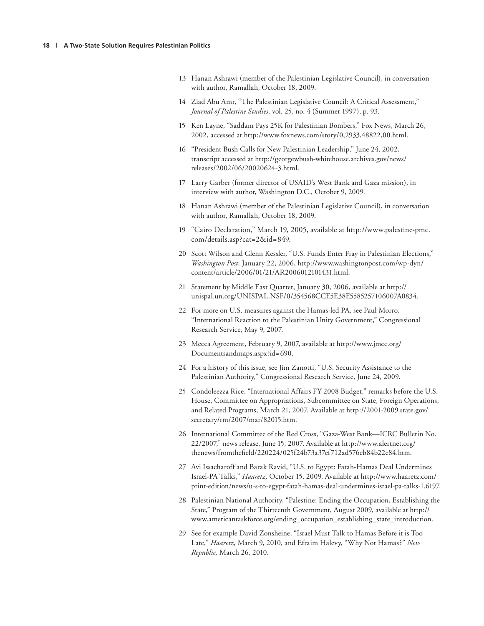- 13 Hanan Ashrawi (member of the Palestinian Legislative Council), in conversation with author, Ramallah, October 18, 2009.
- 14 Ziad Abu Amr, "The Palestinian Legislative Council: A Critical Assessment," *Journal of Palestine Studies,* vol. 25, no. 4 (Summer 1997), p. 93.
- 15 Ken Layne, "Saddam Pays 25K for Palestinian Bombers," Fox News, March 26, 2002, accessed at http://www.foxnews.com/story/0,2933,48822,00.html.
- 16 "President Bush Calls for New Palestinian Leadership," June 24, 2002, transcript accessed at http://georgewbush-whitehouse.archives.gov/news/ releases/2002/06/20020624-3.html.
- 17 Larry Garber (former director of USAID's West Bank and Gaza mission), in interview with author, Washington D.C., October 9, 2009.
- 18 Hanan Ashrawi (member of the Palestinian Legislative Council), in conversation with author, Ramallah, October 18, 2009.
- 19 "Cairo Declaration," March 19, 2005, available at http://www.palestine-pmc. com/details.asp?cat=2&id=849.
- 20 Scott Wilson and Glenn Kessler, "U.S. Funds Enter Fray in Palestinian Elections," *Washington Post,* January 22, 2006, http://www.washingtonpost.com/wp-dyn/ content/article/2006/01/21/AR2006012101431.html.
- 21 Statement by Middle East Quartet, January 30, 2006, available at http:// unispal.un.org/UNISPAL.NSF/0/354568CCE5E38E5585257106007A0834.
- 22 For more on U.S. measures against the Hamas-led PA, see Paul Morro, "International Reaction to the Palestinian Unity Government," Congressional Research Service, May 9, 2007.
- 23 Mecca Agreement, February 9, 2007, available at http://www.jmcc.org/ Documentsandmaps.aspx?id=690.
- 24 For a history of this issue, see Jim Zanotti, "U.S. Security Assistance to the Palestinian Authority," Congressional Research Service, June 24, 2009.
- 25 Condoleezza Rice, "International Affairs FY 2008 Budget," remarks before the U.S. House, Committee on Appropriations, Subcommittee on State, Foreign Operations, and Related Programs, March 21, 2007. Available at http://2001-2009.state.gov/ secretary/rm/2007/mar/82015.htm.
- 26 International Committee of the Red Cross, "Gaza-West Bank—ICRC Bulletin No. 22/2007," news release, June 15, 2007. Available at http://www.alertnet.org/ thenews/fromthefield/220224/025f24b73a37ef712ad576eb84b22e84.htm.
- 27 Avi Issacharoff and Barak Ravid, "U.S. to Egypt: Fatah-Hamas Deal Undermines Israel-PA Talks," *Haaretz,* October 15, 2009. Available at http://www.haaretz.com/ print-edition/news/u-s-to-egypt-fatah-hamas-deal-undermines-israel-pa-talks-1.6197.
- 28 Palestinian National Authority, "Palestine: Ending the Occupation, Establishing the State," Program of the Thirteenth Government, August 2009, available at http:// www.americantaskforce.org/ending\_occupation\_establishing\_state\_introduction.
- 29 See for example David Zonsheine, "Israel Must Talk to Hamas Before it is Too Late," *Haaretz,* March 9, 2010, and Efraim Halevy, "Why Not Hamas?" *New Republic,* March 26, 2010.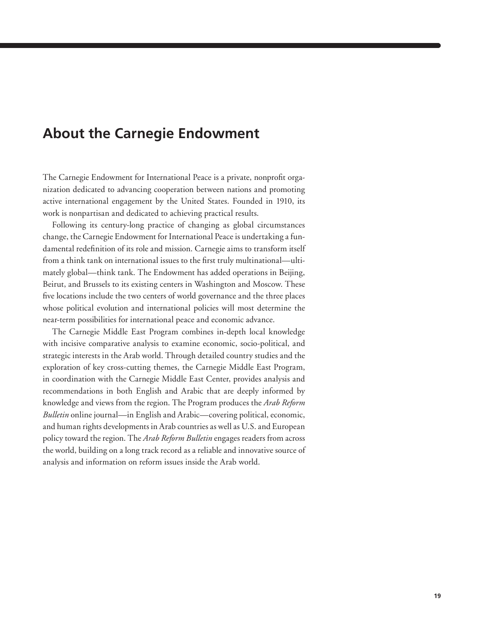## **About the Carnegie Endowment**

The Carnegie Endowment for International Peace is a private, nonprofit organization dedicated to advancing cooperation between nations and promoting active international engagement by the United States. Founded in 1910, its work is nonpartisan and dedicated to achieving practical results.

Following its century-long practice of changing as global circumstances change, the Carnegie Endowment for International Peace is undertaking a fundamental redefinition of its role and mission. Carnegie aims to transform itself from a think tank on international issues to the first truly multinational—ultimately global—think tank. The Endowment has added operations in Beijing, Beirut, and Brussels to its existing centers in Washington and Moscow. These five locations include the two centers of world governance and the three places whose political evolution and international policies will most determine the near-term possibilities for international peace and economic advance.

The Carnegie Middle East Program combines in-depth local knowledge with incisive comparative analysis to examine economic, socio-political, and strategic interests in the Arab world. Through detailed country studies and the exploration of key cross-cutting themes, the Carnegie Middle East Program, in coordination with the Carnegie Middle East Center, provides analysis and recommendations in both English and Arabic that are deeply informed by knowledge and views from the region. The Program produces the *Arab Reform Bulletin* online journal—in English and Arabic—covering political, economic, and human rights developments in Arab countries as well as U.S. and European policy toward the region. The *Arab Reform Bulletin* engages readers from across the world, building on a long track record as a reliable and innovative source of analysis and information on reform issues inside the Arab world.